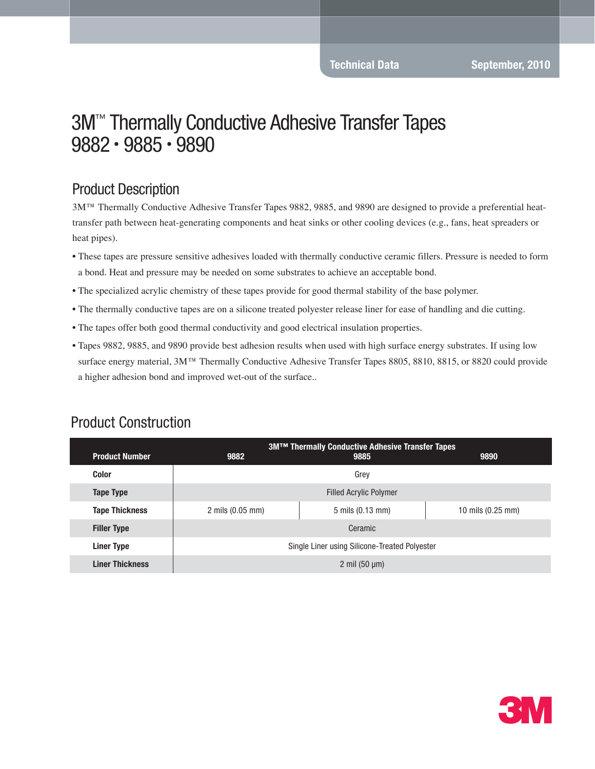#### Product Description

3M™ Thermally Conductive Adhesive Transfer Tapes 9882, 9885, and 9890 are designed to provide a preferential heattransfer path between heat-generating components and heat sinks or other cooling devices (e.g., fans, heat spreaders or heat pipes).

- These tapes are pressure sensitive adhesives loaded with thermally conductive ceramic fillers. Pressure is needed to form a bond. Heat and pressure may be needed on some substrates to achieve an acceptable bond.
- The specialized acrylic chemistry of these tapes provide for good thermal stability of the base polymer.
- The thermally conductive tapes are on a silicone treated polyester release liner for ease of handling and die cutting.
- The tapes offer both good thermal conductivity and good electrical insulation properties.
- Tapes 9882, 9885, and 9890 provide best adhesion results when used with high surface energy substrates. If using low surface energy material, 3M™ Thermally Conductive Adhesive Transfer Tapes 8805, 8810, 8815, or 8820 could provide a higher adhesion bond and improved wet-out of the surface..

| <b>Product Number</b>  | 9882                                          | <b>3MTM Thermally Conductive Adhesive Transfer Tapes</b><br>9885 | 9890                        |  |
|------------------------|-----------------------------------------------|------------------------------------------------------------------|-----------------------------|--|
| <b>Color</b>           | Grey                                          |                                                                  |                             |  |
| <b>Tape Type</b>       | <b>Filled Acrylic Polymer</b>                 |                                                                  |                             |  |
| <b>Tape Thickness</b>  | $2 \text{ miles } (0.05 \text{ mm})$          | 5 mils (0.13 mm)                                                 | 10 mils $(0.25 \text{ mm})$ |  |
| <b>Filler Type</b>     | Ceramic                                       |                                                                  |                             |  |
| <b>Liner Type</b>      | Single Liner using Silicone-Treated Polyester |                                                                  |                             |  |
| <b>Liner Thickness</b> | 2 mil $(50 \mu m)$                            |                                                                  |                             |  |

#### Product Construction

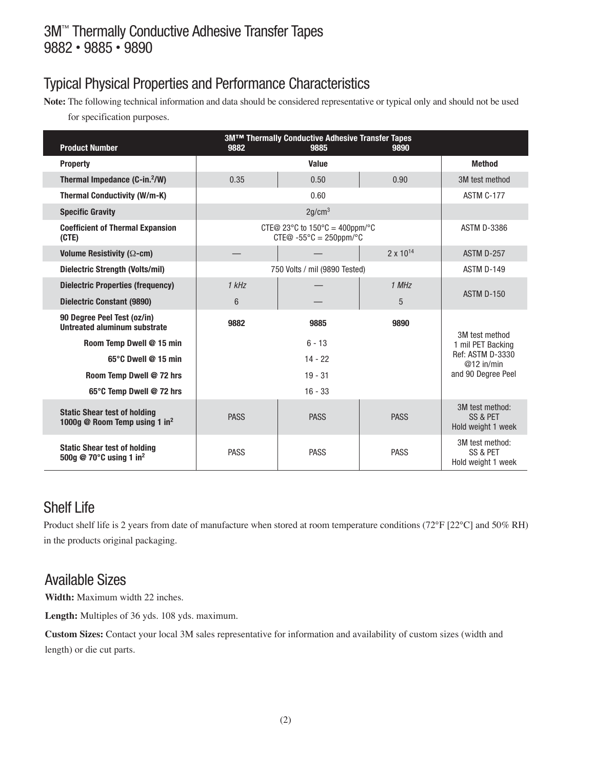# Typical Physical Properties and Performance Characteristics

**Note:** The following technical information and data should be considered representative or typical only and should not be used for specification purposes.

| <b>Product Number</b>                                                            | 9882                                                                                                  | 3M™ Thermally Conductive Adhesive Transfer Tapes<br>9885 | 9890                                                                                          |                                                   |
|----------------------------------------------------------------------------------|-------------------------------------------------------------------------------------------------------|----------------------------------------------------------|-----------------------------------------------------------------------------------------------|---------------------------------------------------|
| <b>Property</b>                                                                  |                                                                                                       | Value                                                    |                                                                                               | <b>Method</b>                                     |
| Thermal Impedance (C-in. <sup>2</sup> /W)                                        | 0.35                                                                                                  | 0.50                                                     | 0.90                                                                                          | 3M test method                                    |
| <b>Thermal Conductivity (W/m-K)</b>                                              |                                                                                                       | 0.60                                                     |                                                                                               | ASTM C-177                                        |
| <b>Specific Gravity</b>                                                          | 2g/cm <sup>3</sup>                                                                                    |                                                          |                                                                                               |                                                   |
| <b>Coefficient of Thermal Expansion</b><br>(CTE)                                 | CTE@ 23 $\degree$ C to 150 $\degree$ C = 400ppm/ $\degree$ C<br>$CTE@ - 55°C = 250ppm$ <sup>o</sup> C |                                                          |                                                                                               | <b>ASTM D-3386</b>                                |
| Volume Resistivity ( $\Omega$ -cm)                                               |                                                                                                       |                                                          | $2 \times 10^{14}$                                                                            | ASTM D-257                                        |
| Dielectric Strength (Volts/mil)                                                  | 750 Volts / mil (9890 Tested)                                                                         |                                                          | ASTM D-149                                                                                    |                                                   |
| <b>Dielectric Properties (frequency)</b>                                         | 1 kHz                                                                                                 |                                                          | 1 MHz                                                                                         | ASTM D-150                                        |
| <b>Dielectric Constant (9890)</b>                                                | $6\phantom{1}$                                                                                        |                                                          | 5                                                                                             |                                                   |
| 90 Degree Peel Test (oz/in)<br>Untreated aluminum substrate                      | 9882                                                                                                  | 9885                                                     | 9890                                                                                          |                                                   |
| Room Temp Dwell @ 15 min                                                         | $6 - 13$<br>$14 - 22$                                                                                 |                                                          | 3M test method<br>1 mil PET Backing<br>Ref: ASTM D-3330<br>$@12$ in/min<br>and 90 Degree Peel |                                                   |
| 65°C Dwell @ 15 min                                                              |                                                                                                       |                                                          |                                                                                               |                                                   |
| Room Temp Dwell @ 72 hrs                                                         | $19 - 31$                                                                                             |                                                          |                                                                                               |                                                   |
| 65°C Temp Dwell @ 72 hrs                                                         | $16 - 33$                                                                                             |                                                          |                                                                                               |                                                   |
| <b>Static Shear test of holding</b><br>1000g @ Room Temp using 1 in <sup>2</sup> | <b>PASS</b>                                                                                           | <b>PASS</b>                                              | <b>PASS</b>                                                                                   | 3M test method:<br>SS & PET<br>Hold weight 1 week |
| <b>Static Shear test of holding</b><br>500g @ 70°C using 1 in <sup>2</sup>       | <b>PASS</b>                                                                                           | <b>PASS</b>                                              | <b>PASS</b>                                                                                   | 3M test method:<br>SS & PET<br>Hold weight 1 week |

# Shelf Life

Product shelf life is 2 years from date of manufacture when stored at room temperature conditions (72°F [22°C] and 50% RH) in the products original packaging.

#### Available Sizes

**Width:** Maximum width 22 inches.

Length: Multiples of 36 yds. 108 yds. maximum.

**Custom Sizes:** Contact your local 3M sales representative for information and availability of custom sizes (width and length) or die cut parts.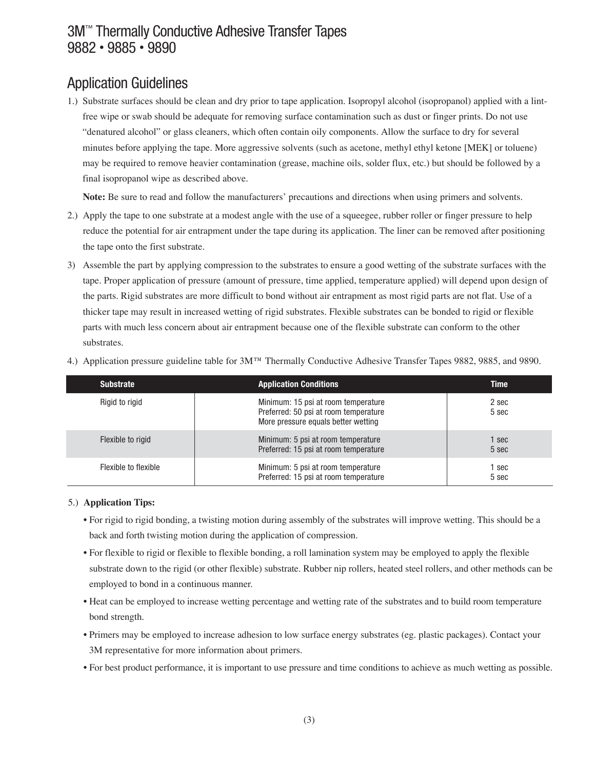# Application Guidelines

1.) Substrate surfaces should be clean and dry prior to tape application. Isopropyl alcohol (isopropanol) applied with a lintfree wipe or swab should be adequate for removing surface contamination such as dust or finger prints. Do not use "denatured alcohol" or glass cleaners, which often contain oily components. Allow the surface to dry for several minutes before applying the tape. More aggressive solvents (such as acetone, methyl ethyl ketone [MEK] or toluene) may be required to remove heavier contamination (grease, machine oils, solder flux, etc.) but should be followed by a final isopropanol wipe as described above.

**Note:** Be sure to read and follow the manufacturers' precautions and directions when using primers and solvents.

- 2.) Apply the tape to one substrate at a modest angle with the use of a squeegee, rubber roller or finger pressure to help reduce the potential for air entrapment under the tape during its application. The liner can be removed after positioning the tape onto the first substrate.
- 3) Assemble the part by applying compression to the substrates to ensure a good wetting of the substrate surfaces with the tape. Proper application of pressure (amount of pressure, time applied, temperature applied) will depend upon design of the parts. Rigid substrates are more difficult to bond without air entrapment as most rigid parts are not flat. Use of a thicker tape may result in increased wetting of rigid substrates. Flexible substrates can be bonded to rigid or flexible parts with much less concern about air entrapment because one of the flexible substrate can conform to the other substrates.

| <b>Substrate</b>     | <b>Application Conditions</b>                                                                                       | <b>Time</b>    |
|----------------------|---------------------------------------------------------------------------------------------------------------------|----------------|
| Rigid to rigid       | Minimum: 15 psi at room temperature<br>Preferred: 50 psi at room temperature<br>More pressure equals better wetting | 2 sec<br>5 sec |
| Flexible to rigid    | Minimum: 5 psi at room temperature<br>Preferred: 15 psi at room temperature                                         | 1 sec<br>5 sec |
| Flexible to flexible | Minimum: 5 psi at room temperature<br>Preferred: 15 psi at room temperature                                         | 1 sec<br>5 sec |

4.) Application pressure guideline table for 3M™ Thermally Conductive Adhesive Transfer Tapes 9882, 9885, and 9890.

#### 5.) **Application Tips:**

- For rigid to rigid bonding, a twisting motion during assembly of the substrates will improve wetting. This should be a back and forth twisting motion during the application of compression.
- For flexible to rigid or flexible to flexible bonding, a roll lamination system may be employed to apply the flexible substrate down to the rigid (or other flexible) substrate. Rubber nip rollers, heated steel rollers, and other methods can be employed to bond in a continuous manner.
- Heat can be employed to increase wetting percentage and wetting rate of the substrates and to build room temperature bond strength.
- Primers may be employed to increase adhesion to low surface energy substrates (eg. plastic packages). Contact your 3M representative for more information about primers.
- For best product performance, it is important to use pressure and time conditions to achieve as much wetting as possible.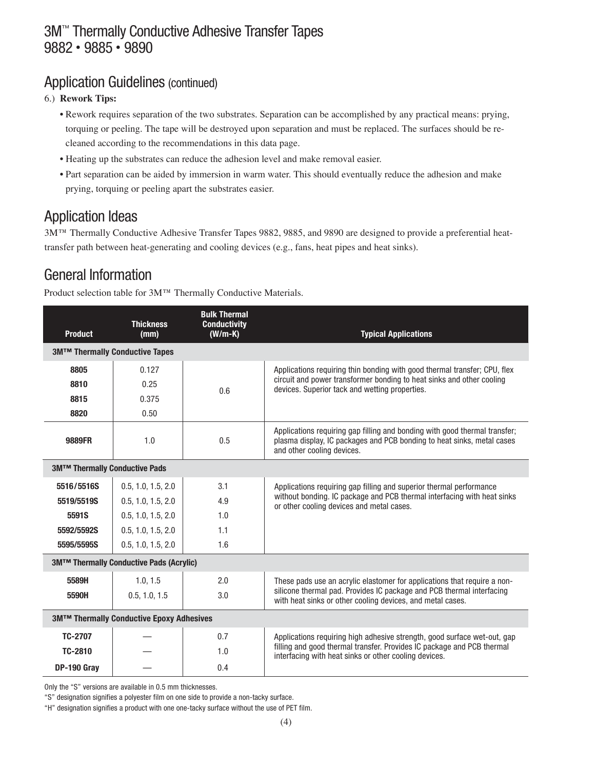#### Application Guidelines (continued)

- 6.) **Rework Tips:**
	- Rework requires separation of the two substrates. Separation can be accomplished by any practical means: prying, torquing or peeling. The tape will be destroyed upon separation and must be replaced. The surfaces should be recleaned according to the recommendations in this data page.
	- Heating up the substrates can reduce the adhesion level and make removal easier.
	- Part separation can be aided by immersion in warm water. This should eventually reduce the adhesion and make prying, torquing or peeling apart the substrates easier.

### Application Ideas

3M™ Thermally Conductive Adhesive Transfer Tapes 9882, 9885, and 9890 are designed to provide a preferential heattransfer path between heat-generating and cooling devices (e.g., fans, heat pipes and heat sinks).

# General Information

Product selection table for 3M™ Thermally Conductive Materials.

| <b>Product</b>                           | <b>Thickness</b><br>(mm) | <b>Bulk Thermal</b><br><b>Conductivity</b><br>$(W/m-K)$ | <b>Typical Applications</b>                                                                                                                                                                          |  |  |
|------------------------------------------|--------------------------|---------------------------------------------------------|------------------------------------------------------------------------------------------------------------------------------------------------------------------------------------------------------|--|--|
| <b>3M™ Thermally Conductive Tapes</b>    |                          |                                                         |                                                                                                                                                                                                      |  |  |
| 8805                                     | 0.127                    | 0.6                                                     | Applications requiring thin bonding with good thermal transfer; CPU, flex<br>circuit and power transformer bonding to heat sinks and other cooling<br>devices. Superior tack and wetting properties. |  |  |
| 8810                                     | 0.25                     |                                                         |                                                                                                                                                                                                      |  |  |
| 8815                                     | 0.375                    |                                                         |                                                                                                                                                                                                      |  |  |
| 8820                                     | 0.50                     |                                                         |                                                                                                                                                                                                      |  |  |
| 9889FR                                   | 1.0                      | 0.5                                                     | Applications requiring gap filling and bonding with good thermal transfer;<br>plasma display, IC packages and PCB bonding to heat sinks, metal cases<br>and other cooling devices.                   |  |  |
| <b>3M™ Thermally Conductive Pads</b>     |                          |                                                         |                                                                                                                                                                                                      |  |  |
| 5516/5516S                               | 0.5, 1.0, 1.5, 2.0       | 3.1                                                     | Applications requiring gap filling and superior thermal performance                                                                                                                                  |  |  |
| 5519/5519S                               | 0.5, 1.0, 1.5, 2.0       | 4.9                                                     | without bonding. IC package and PCB thermal interfacing with heat sinks<br>or other cooling devices and metal cases.                                                                                 |  |  |
| 5591S                                    | 0.5, 1.0, 1.5, 2.0       | 1.0                                                     |                                                                                                                                                                                                      |  |  |
| 5592/5592S                               | 0.5, 1.0, 1.5, 2.0       | 1.1                                                     |                                                                                                                                                                                                      |  |  |
| 5595/5595S                               | 0.5, 1.0, 1.5, 2.0       | 1.6                                                     |                                                                                                                                                                                                      |  |  |
| 3M™ Thermally Conductive Pads (Acrylic)  |                          |                                                         |                                                                                                                                                                                                      |  |  |
| 5589H                                    | 1.0, 1.5                 | 2.0                                                     | These pads use an acrylic elastomer for applications that require a non-                                                                                                                             |  |  |
| 5590H                                    | 0.5, 1.0, 1.5            | 3.0                                                     | silicone thermal pad. Provides IC package and PCB thermal interfacing<br>with heat sinks or other cooling devices, and metal cases.                                                                  |  |  |
| 3M™ Thermally Conductive Epoxy Adhesives |                          |                                                         |                                                                                                                                                                                                      |  |  |
| TC-2707                                  |                          | 0.7                                                     | Applications requiring high adhesive strength, good surface wet-out, gap                                                                                                                             |  |  |
| TC-2810                                  |                          | 1.0                                                     | filling and good thermal transfer. Provides IC package and PCB thermal<br>interfacing with heat sinks or other cooling devices.                                                                      |  |  |
| DP-190 Gray                              |                          | 0.4                                                     |                                                                                                                                                                                                      |  |  |

Only the "S" versions are available in 0.5 mm thicknesses.

"S" designation signifies a polyester film on one side to provide a non-tacky surface.

"H" designation signifies a product with one one-tacky surface without the use of PET film.